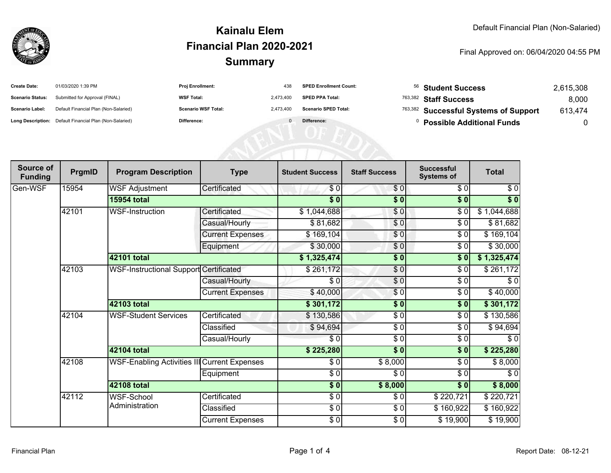

#### **SummaryKainalu ElemFinancial Plan 2020-2021**

#### Final Approved on: 06/04/2020 04:55 PM

| <b>Create Date:</b>     | 01/03/2020 1:39 PM                                      | Proj Enrollment:           | 438       | <b>SPED Enrollment Count:</b> | 56 Student Success                    | 2,615,308 |
|-------------------------|---------------------------------------------------------|----------------------------|-----------|-------------------------------|---------------------------------------|-----------|
| <b>Scenario Status:</b> | Submitted for Approval (FINAL)                          | <b>WSF Total:</b>          | 2,473,400 | <b>SPED PPA Total:</b>        | <sup>763,382</sup> Staff Success      | 8,000     |
| Scenario Label:         | Default Financial Plan (Non-Salaried)                   | <b>Scenario WSF Total:</b> | 2,473,400 | <b>Scenario SPED Total:</b>   | 763,382 Successful Systems of Support | 613,474   |
|                         | Long Description: Default Financial Plan (Non-Salaried) | Difference:                |           | Difference:                   | <b>Possible Additional Funds</b>      |           |
|                         |                                                         |                            |           |                               |                                       |           |
|                         |                                                         |                            |           |                               |                                       |           |
|                         |                                                         |                            |           |                               |                                       |           |

| Source of<br><b>Funding</b> | PrgmID | <b>Program Description</b>                   | <b>Type</b>             | <b>Student Success</b> | <b>Staff Success</b>     | <b>Successful</b><br><b>Systems of</b> | <b>Total</b> |
|-----------------------------|--------|----------------------------------------------|-------------------------|------------------------|--------------------------|----------------------------------------|--------------|
| Gen-WSF                     | 15954  | <b>WSF Adjustment</b>                        | Certificated            | \$0                    | \$0                      | \$0                                    | \$0          |
|                             |        | <b>15954 total</b>                           |                         | $\overline{\$0}$       | $\overline{\$0}$         | \$0                                    | $\sqrt[6]{}$ |
|                             | 42101  | WSF-Instruction                              | Certificated            | \$1,044,688            | \$0                      | \$0                                    | \$1,044,688  |
|                             |        |                                              | Casual/Hourly           | \$81,682               | \$0                      | \$0                                    | \$81,682     |
|                             |        |                                              | <b>Current Expenses</b> | \$169,104              | \$0                      | \$0                                    | \$169,104    |
|                             |        |                                              | Equipment               | \$30,000               | $\overline{\$0}$         | \$0                                    | \$30,000     |
|                             |        | 42101 total                                  |                         | \$1,325,474            | \$0                      | \$0                                    | \$1,325,474  |
|                             | 42103  | WSF-Instructional Support Certificated       |                         | \$261,172              | $\sqrt{6}$               | $\sqrt{6}$                             | \$261,172    |
|                             |        |                                              | Casual/Hourly           | \$0                    | \$0                      | \$0                                    | \$0          |
|                             |        |                                              | <b>Current Expenses</b> | \$40,000               | \$0                      | \$0                                    | \$40,000     |
|                             |        | 42103 total                                  |                         | \$301,172              | \$0                      | \$0                                    | \$301,172    |
|                             | 42104  | <b>WSF-Student Services</b>                  | Certificated            | \$130,586              | \$0                      | \$0                                    | \$130,586    |
|                             |        |                                              | Classified              | \$94,694               | $\sqrt{6}$               | \$0                                    | \$94,694     |
|                             |        |                                              | Casual/Hourly           | \$0                    | $\overline{\frac{1}{6}}$ | \$0                                    | \$0          |
|                             |        | 42104 total                                  |                         | \$225,280              | $\overline{\$0}$         | \$0                                    | \$225,280    |
|                             | 42108  | WSF-Enabling Activities III Current Expenses |                         | \$0                    | \$8,000                  | \$0                                    | \$8,000      |
|                             |        |                                              | Equipment               | $\frac{3}{6}$          | \$0                      | $\sqrt{6}$                             | $\sqrt{6}$   |
|                             |        | <b>42108 total</b>                           |                         | $\frac{1}{6}$          | \$8,000                  | \$0                                    | \$8,000      |
|                             | 42112  | <b>WSF-School</b>                            | Certificated            | $\sqrt{6}$             | \$0                      | \$220,721                              | \$220,721    |
|                             |        | Administration                               | Classified              | \$0                    | \$0                      | \$160,922                              | \$160,922    |
|                             |        |                                              | <b>Current Expenses</b> | $\frac{6}{3}$          | \$0                      | \$19,900                               | \$19,900     |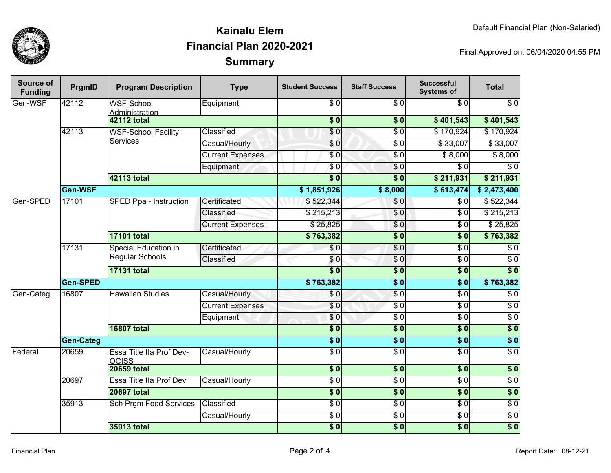

## **SummaryKainalu ElemFinancial Plan 2020-2021**

Final Approved on: 06/04/2020 04:55 PM

| <b>Source of</b><br><b>Funding</b> | PrgmID           | <b>Program Description</b>                    | <b>Type</b>             | <b>Student Success</b>    | <b>Staff Success</b> | <b>Successful</b><br><b>Systems of</b> | <b>Total</b>     |
|------------------------------------|------------------|-----------------------------------------------|-------------------------|---------------------------|----------------------|----------------------------------------|------------------|
| Gen-WSF                            | 42112            | <b>WSF-School</b><br>Administration           | Equipment               | \$0                       | \$0                  | $\overline{30}$                        | $\sqrt{6}$       |
|                                    |                  | <b>42112 total</b>                            |                         | $\overline{\$0}$          | $\overline{\$0}$     | \$401,543                              | \$401,543        |
|                                    | 42113            | <b>WSF-School Facility</b><br><b>Services</b> | <b>Classified</b>       | \$0                       | $\overline{\$0}$     | \$170,924                              | \$170,924        |
|                                    |                  |                                               | Casual/Hourly           | $\sqrt{6}$                | $\sqrt{6}$           | \$33,007                               | \$33,007         |
|                                    |                  |                                               | <b>Current Expenses</b> | \$0                       | $\overline{\$0}$     | \$8,000                                | \$8,000          |
|                                    |                  |                                               | Equipment               | $\sqrt{50}$               | $\overline{\$0}$     | $\overline{\$0}$                       | $\overline{\$0}$ |
|                                    |                  | <b>42113 total</b>                            |                         | $\overline{\textbf{S}^0}$ | $\overline{\$0}$     | \$211,931                              | \$211,931        |
|                                    | Gen-WSF          |                                               |                         | \$1,851,926               | \$8,000              | \$613,474]                             | \$2,473,400      |
| Gen-SPED                           | 17101            | SPED Ppa - Instruction                        | Certificated            | \$522,344                 | $\overline{\$0}$     | \$0                                    | \$522,344        |
|                                    |                  |                                               | Classified              | \$215,213                 | $\overline{\$0}$     | $\overline{\$0}$                       | \$215,213        |
|                                    |                  |                                               | <b>Current Expenses</b> | \$25,825                  | \$0                  | $\overline{\$0}$                       | \$25,825         |
|                                    |                  | <b>17101 total</b>                            |                         | \$763,382                 | \$0                  | $\overline{\$}0$                       | \$763,382        |
|                                    | 17131            | <b>Special Education in</b>                   | Certificated            | \$0                       | $\overline{\$0}$     | $\overline{\$0}$                       | $\overline{\$0}$ |
|                                    |                  | <b>Regular Schools</b>                        | Classified              | $\sqrt{6}$                | $\sqrt{0}$           | $\overline{\$0}$                       | $\overline{\$0}$ |
|                                    |                  | <b>17131 total</b>                            |                         | $\overline{\$0}$          | $\overline{\$0}$     | $\overline{\$0}$                       | $\overline{\$0}$ |
|                                    | Gen-SPED         |                                               |                         | \$763,382                 | $\overline{\$0}$     | $\overline{\$}0$                       | \$763,382        |
| Gen-Categ                          | 16807            | <b>Hawaiian Studies</b>                       | Casual/Hourly           | \$0                       | $\overline{\$0}$     | $\overline{\$0}$                       | $\overline{\$0}$ |
|                                    |                  |                                               | <b>Current Expenses</b> | $\overline{\$0}$          | $\overline{\$0}$     | $\overline{\$0}$                       | $\overline{\$0}$ |
|                                    |                  |                                               | Equipment               | \$0                       | $\overline{\$0}$     | $\overline{\$0}$                       | $\overline{30}$  |
|                                    |                  | <b>16807 total</b>                            |                         | $\overline{\$0}$          | $\sqrt{6}$           | $\sqrt{6}$                             | $\sqrt{6}$       |
|                                    | <b>Gen-Categ</b> |                                               |                         | $\overline{\$0}$          | $\sqrt{6}$           | $\overline{\$0}$                       | $\overline{\$0}$ |
| Federal                            | 20659            | Essa Title IIa Prof Dev-<br><b>OCISS</b>      | Casual/Hourly           | $\overline{\$0}$          | $\overline{\$0}$     | $\overline{\$0}$                       | $\overline{30}$  |
|                                    |                  | <b>20659 total</b>                            |                         | \$0                       | \$0                  | $\overline{\$0}$                       | $\sqrt{6}$       |
|                                    | 20697            | Essa Title IIa Prof Dev                       | Casual/Hourly           | $\sqrt{6}$                | $\overline{\$0}$     | $\overline{\$0}$                       | $\sqrt{6}$       |
|                                    |                  | <b>20697 total</b>                            |                         | $\overline{\$0}$          | $\overline{\$0}$     | $\overline{\$0}$                       | \$0              |
|                                    | 35913            | Sch Prgm Food Services                        | Classified              | $\sqrt{6}$                | $\sqrt{6}$           | $\sqrt{6}$                             | $\sqrt{6}$       |
|                                    |                  |                                               | Casual/Hourly           | $\sqrt{6}$                | $\sqrt{6}$           | $\sqrt{6}$                             | $\sqrt{6}$       |
|                                    |                  | <b>35913 total</b>                            |                         | $\overline{\$0}$          | $\overline{\$0}$     | $\overline{\$0}$                       | $\overline{\$0}$ |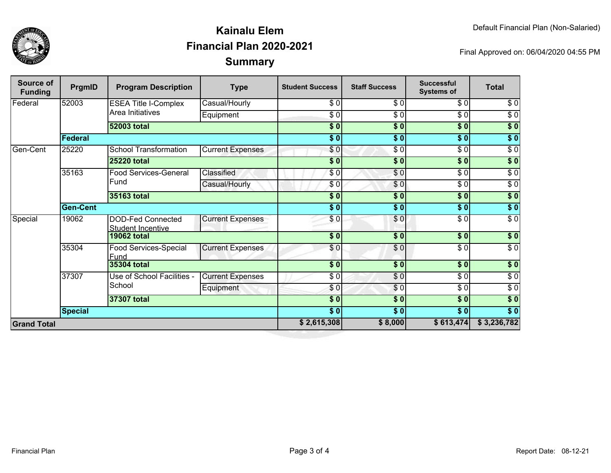

## **SummaryKainalu ElemFinancial Plan 2020-2021**

Final Approved on: 06/04/2020 04:55 PM

| <b>Source of</b><br><b>Funding</b> | PrgmID          | <b>Program Description</b>                           | <b>Type</b>             | <b>Student Success</b> | <b>Staff Success</b>   | <b>Successful</b><br><b>Systems of</b> | <b>Total</b>     |
|------------------------------------|-----------------|------------------------------------------------------|-------------------------|------------------------|------------------------|----------------------------------------|------------------|
| Federal                            | 52003           | <b>ESEA Title I-Complex</b><br>Area Initiatives      | Casual/Hourly           | \$0                    | \$0                    | \$0                                    | \$0              |
|                                    |                 |                                                      | Equipment               | \$ 0                   | $\sqrt{6}$             | $\sqrt{6}$                             | $\overline{30}$  |
|                                    |                 | <b>52003 total</b>                                   |                         | $\overline{\$0}$       | $\sqrt{50}$            | $\overline{\$0}$                       | $\sqrt{50}$      |
|                                    | Federal         |                                                      |                         | $\overline{\$0}$       | $\overline{\$0}$       | $\overline{\$0}$                       | $\overline{\$}0$ |
| Gen-Cent                           | 25220           | <b>School Transformation</b>                         | <b>Current Expenses</b> | \$0                    | $\overline{\$0}$       | $\sqrt{6}$                             | $\sqrt{6}$       |
|                                    |                 | <b>25220 total</b>                                   |                         | \$0                    | \$0                    | $\overline{\$0}$                       | $\overline{\$}0$ |
|                                    | 35163           | Food Services-General<br>Fund                        | Classified              | \$0                    | $\overline{\$0}$       | $\sqrt{6}$                             | $\sqrt{6}$       |
|                                    |                 |                                                      | Casual/Hourly           | \$0                    | \$0                    | \$0                                    | $\sqrt{6}$       |
|                                    |                 | 35163 total                                          |                         | $\overline{\$0}$       | $\sqrt{50}$            | $\overline{\$0}$                       | $\sqrt{50}$      |
|                                    | <b>Gen-Cent</b> |                                                      |                         | $\overline{\$0}$       | $\overline{\bullet}$ 0 | $\overline{\$0}$                       | $\sqrt{50}$      |
| Special                            | 19062           | <b>DOD-Fed Connected</b><br><b>Student Incentive</b> | <b>Current Expenses</b> | \$0                    | \$0                    | $\sqrt{6}$                             | $\sqrt{6}$       |
|                                    |                 | <b>19062 total</b>                                   |                         | \$0                    | \$0                    | \$0                                    | \$0              |
|                                    | 35304           | Food Services-Special<br>Fund                        | <b>Current Expenses</b> | \$0                    | \$0                    | \$0                                    | $\sqrt{6}$       |
|                                    |                 | <b>35304 total</b>                                   |                         | $\overline{\bullet}$   | $\overline{\bullet}$   | $\overline{\$0}$                       | $\overline{\$}0$ |
|                                    | 37307           | Use of School Facilities -<br>School                 | <b>Current Expenses</b> | $rac{1}{\sigma}$       | $\sqrt{6}$             | $\frac{6}{6}$                          | $\sqrt{6}$       |
|                                    |                 |                                                      | Equipment               | \$0                    | $\overline{\$}$ 0      | $\frac{6}{6}$                          | $\sqrt{6}$       |
|                                    |                 | 37307 total                                          |                         | $\overline{\$0}$       | $\overline{\$0}$       | $\overline{\$0}$                       | $\overline{\$}0$ |
|                                    | <b>Special</b>  |                                                      |                         | $\frac{1}{6}$          | $\frac{1}{2}$          | \$0                                    | $\overline{\$}0$ |
| <b>Grand Total</b>                 |                 |                                                      |                         | \$2,615,308            | \$8,000                | \$613,474                              | \$3,236,782      |